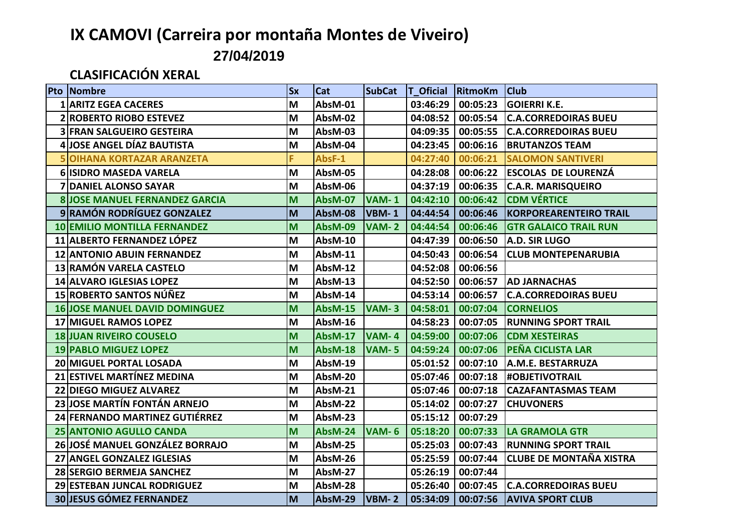## **IX CAMOVI (Carreira por montaña Montes de Viveiro)**

**27/04/2019**

## **CLASIFICACIÓN XERAL**

|    | <b>Pto Nombre</b>                     | <b>Sx</b> | <b>Cat</b>     |              |          | SubCat   T Oficial RitmoKm   Club |                                            |
|----|---------------------------------------|-----------|----------------|--------------|----------|-----------------------------------|--------------------------------------------|
|    | <b>1 ARITZ EGEA CACERES</b>           | M         | AbsM-01        |              |          |                                   | 03:46:29   00:05:23   GOIERRI K.E.         |
|    | <b>2 ROBERTO RIOBO ESTEVEZ</b>        | M         | AbsM-02        |              |          |                                   | 04:08:52   00:05:54   C.A.CORREDOIRAS BUEU |
|    | <b>3 FRAN SALGUEIRO GESTEIRA</b>      | M         | AbsM-03        |              | 04:09:35 |                                   | 00:05:55 C.A.CORREDOIRAS BUEU              |
|    | 4 JOSE ANGEL DÍAZ BAUTISTA            | M         | AbsM-04        |              | 04:23:45 | 00:06:16                          | <b>BRUTANZOS TEAM</b>                      |
|    | <b>5 OIHANA KORTAZAR ARANZETA</b>     | F         | AbsF-1         |              | 04:27:40 | 00:06:21                          | <b>SALOMON SANTIVERI</b>                   |
|    | 6 ISIDRO MASEDA VARELA                | M         | AbsM-05        |              | 04:28:08 |                                   | 00:06:22 ESCOLAS DE LOURENZÁ               |
|    | 7 DANIEL ALONSO SAYAR                 | M         | AbsM-06        |              | 04:37:19 |                                   | 00:06:35 C.A.R. MARISQUEIRO                |
|    | <b>8 JOSE MANUEL FERNANDEZ GARCIA</b> | M         | <b>AbsM-07</b> | <b>VAM-1</b> | 04:42:10 | 00:06:42                          | <b>CDM VÉRTICE</b>                         |
|    | 9 RAMÓN RODRÍGUEZ GONZALEZ            | M         | AbsM-08        | VBM-1        | 04:44:54 |                                   | 00:06:46  KORPOREARENTEIRO TRAIL           |
|    | <b>10 EMILIO MONTILLA FERNANDEZ</b>   | M         | AbsM-09        | <b>VAM-2</b> | 04:44:54 |                                   | 00:06:46 GTR GALAICO TRAIL RUN             |
|    | 11 ALBERTO FERNANDEZ LÓPEZ            | M         | AbsM-10        |              | 04:47:39 |                                   | 00:06:50 A.D. SIR LUGO                     |
|    | <b>12 ANTONIO ABUIN FERNANDEZ</b>     | M         | AbsM-11        |              | 04:50:43 | 00:06:54                          | <b>CLUB MONTEPENARUBIA</b>                 |
|    | 13 RAMÓN VARELA CASTELO               | M         | AbsM-12        |              | 04:52:08 | 00:06:56                          |                                            |
|    | 14 ALVARO IGLESIAS LOPEZ              | M         | AbsM-13        |              | 04:52:50 |                                   | 00:06:57 AD JARNACHAS                      |
|    | 15 ROBERTO SANTOS NÚÑEZ               | M         | AbsM-14        |              | 04:53:14 |                                   | 00:06:57 C.A.CORREDOIRAS BUEU              |
|    | <b>16 JOSE MANUEL DAVID DOMINGUEZ</b> | M         | AbsM-15        | $VAM-3$      |          |                                   | 04:58:01   00:07:04   CORNELIOS            |
|    | <b>17 MIGUEL RAMOS LOPEZ</b>          | M         | AbsM-16        |              | 04:58:23 |                                   | 00:07:05 RUNNING SPORT TRAIL               |
|    | <b>18 JUAN RIVEIRO COUSELO</b>        | M         | AbsM-17        | VAM-4        | 04:59:00 |                                   | 00:07:06 CDM XESTEIRAS                     |
|    | <b>19 PABLO MIGUEZ LOPEZ</b>          | M         | <b>AbsM-18</b> | <b>VAM-5</b> |          |                                   | 04:59:24   00:07:06   PEÑA CICLISTA LAR    |
|    | <b>20 MIGUEL PORTAL LOSADA</b>        | M         | AbsM-19        |              | 05:01:52 | 00:07:10                          | A.M.E. BESTARRUZA                          |
|    | 21 ESTIVEL MARTÍNEZ MEDINA            | M         | AbsM-20        |              | 05:07:46 |                                   | 00:07:18 #OBJETIVOTRAIL                    |
|    | <b>22 DIEGO MIGUEZ ALVAREZ</b>        | M         | AbsM-21        |              | 05:07:46 |                                   | 00:07:18   CAZAFANTASMAS TEAM              |
|    | 23 JOSE MARTÍN FONTÁN ARNEJO          | M         | AbsM-22        |              | 05:14:02 | 00:07:27                          | <b>CHUVONERS</b>                           |
|    | 24 FERNANDO MARTINEZ GUTIÉRREZ        | M         | AbsM-23        |              | 05:15:12 | 00:07:29                          |                                            |
|    | 25 ANTONIO AGULLO CANDA               | M         | AbsM-24        | <b>VAM-6</b> | 05:18:20 | 00:07:33                          | <b>LA GRAMOLA GTR</b>                      |
|    | 26 JOSÉ MANUEL GONZÁLEZ BORRAJO       | M         | AbsM-25        |              | 05:25:03 |                                   | 00:07:43 RUNNING SPORT TRAIL               |
| 27 | <b>ANGEL GONZALEZ IGLESIAS</b>        | M         | AbsM-26        |              | 05:25:59 | 00:07:44                          | <b>CLUBE DE MONTAÑA XISTRA</b>             |
|    | 28 SERGIO BERMEJA SANCHEZ             | M         | AbsM-27        |              | 05:26:19 | 00:07:44                          |                                            |
|    | 29 ESTEBAN JUNCAL RODRIGUEZ           | M         | AbsM-28        |              | 05:26:40 |                                   | 00:07:45 C.A.CORREDOIRAS BUEU              |
|    | <b>30 JESUS GÓMEZ FERNANDEZ</b>       | M         | AbsM-29        | $VBM-2$      |          | $05:34:09$   00:07:56             | <b>AVIVA SPORT CLUB</b>                    |